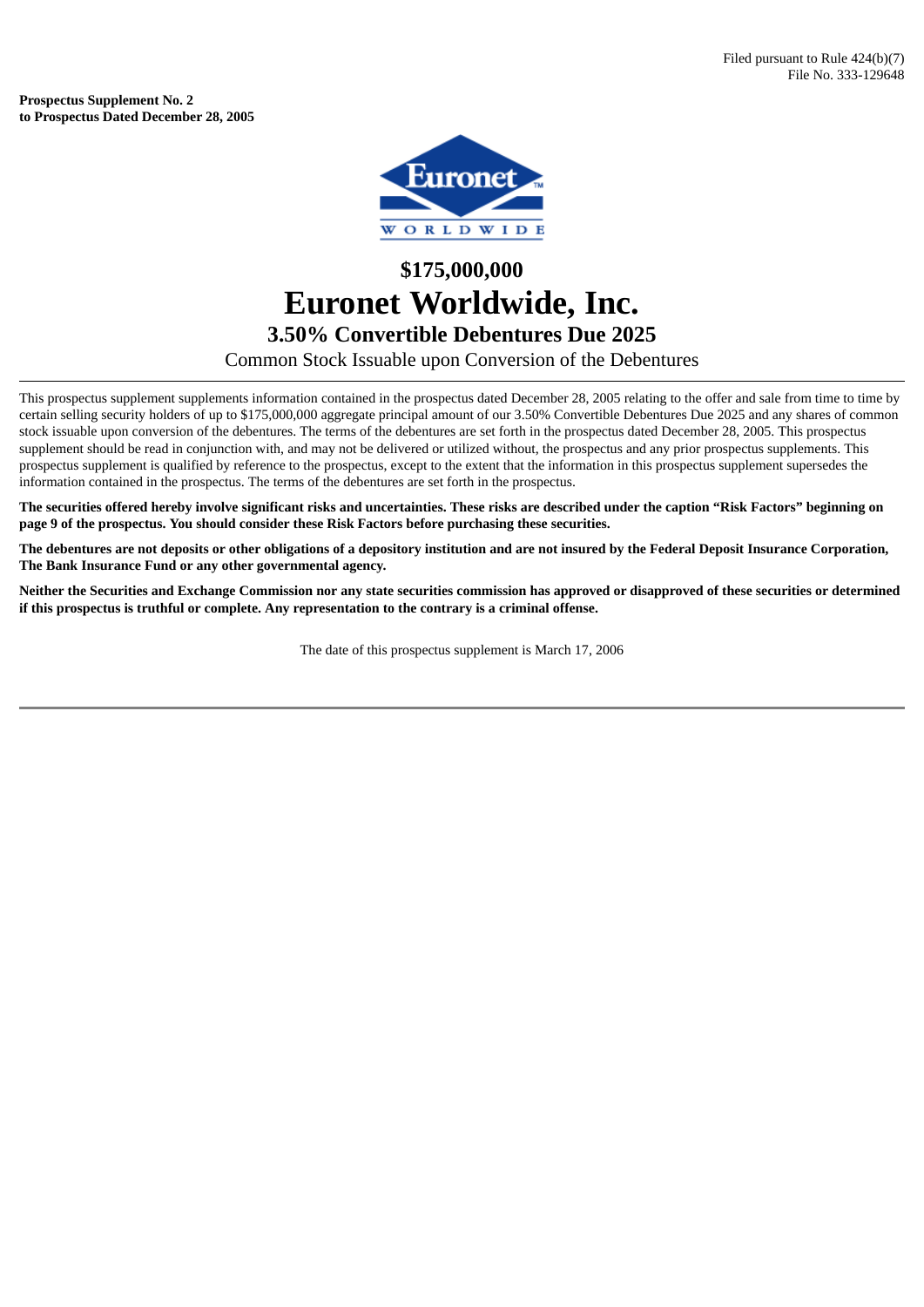**Prospectus Supplement No. 2 to Prospectus Dated December 28, 2005**



## **\$175,000,000 Euronet Worldwide, Inc. 3.50% Convertible Debentures Due 2025**

Common Stock Issuable upon Conversion of the Debentures

This prospectus supplement supplements information contained in the prospectus dated December 28, 2005 relating to the offer and sale from time to time by certain selling security holders of up to \$175,000,000 aggregate principal amount of our 3.50% Convertible Debentures Due 2025 and any shares of common stock issuable upon conversion of the debentures. The terms of the debentures are set forth in the prospectus dated December 28, 2005. This prospectus supplement should be read in conjunction with, and may not be delivered or utilized without, the prospectus and any prior prospectus supplements. This prospectus supplement is qualified by reference to the prospectus, except to the extent that the information in this prospectus supplement supersedes the information contained in the prospectus. The terms of the debentures are set forth in the prospectus.

The securities offered hereby involve significant risks and uncertainties. These risks are described under the caption "Risk Factors" beginning on **page 9 of the prospectus. You should consider these Risk Factors before purchasing these securities.**

The debentures are not deposits or other obligations of a depository institution and are not insured by the Federal Deposit Insurance Corporation, **The Bank Insurance Fund or any other governmental agency.**

Neither the Securities and Exchange Commission nor any state securities commission has approved or disapproved of these securities or determined **if this prospectus is truthful or complete. Any representation to the contrary is a criminal offense.**

The date of this prospectus supplement is March 17, 2006